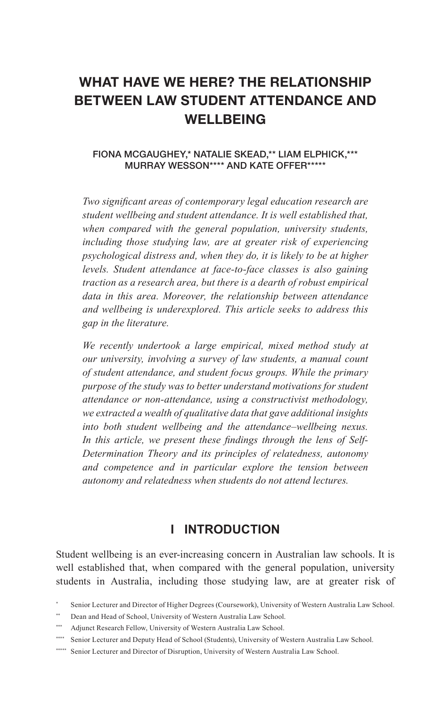# **WHAT HAVE WE HERE? THE RELATIONSHIP BETWEEN LAW STUDENT ATTENDANCE AND WELLBEING**

#### FIONA MCGAUGHEY,\* NATALIE SKEAD,\*\* LIAM ELPHICK,\*\*\* MURRAY WESSON\*\*\*\* AND KATE OFFER\*\*\*\*\*

*Two signifcant areas of contemporary legal education research are student wellbeing and student attendance. It is well established that, when compared with the general population, university students, including those studying law, are at greater risk of experiencing psychological distress and, when they do, it is likely to be at higher levels. Student attendance at face-to-face classes is also gaining traction as a research area, but there is a dearth of robust empirical data in this area. Moreover, the relationship between attendance and wellbeing is underexplored. This article seeks to address this gap in the literature.*

*We recently undertook a large empirical, mixed method study at our university, involving a survey of law students, a manual count of student attendance, and student focus groups. While the primary purpose of the study was to better understand motivations for student attendance or non-attendance, using a constructivist methodology, we extracted a wealth of qualitative data that gave additional insights into both student wellbeing and the attendance–wellbeing nexus. In this article, we present these fndings through the lens of Self-Determination Theory and its principles of relatedness, autonomy and competence and in particular explore the tension between autonomy and relatedness when students do not attend lectures.*

## **I INTRODUCTION**

Student wellbeing is an ever-increasing concern in Australian law schools. It is well established that, when compared with the general population, university students in Australia, including those studying law, are at greater risk of

Senior Lecturer and Director of Higher Degrees (Coursework), University of Western Australia Law School.

<sup>\*\*</sup> Dean and Head of School, University of Western Australia Law School.

Adjunct Research Fellow, University of Western Australia Law School.

<sup>\*\*\*\*</sup> Senior Lecturer and Deputy Head of School (Students), University of Western Australia Law School.

<sup>\*\*\*\*\*</sup> Senior Lecturer and Director of Disruption, University of Western Australia Law School.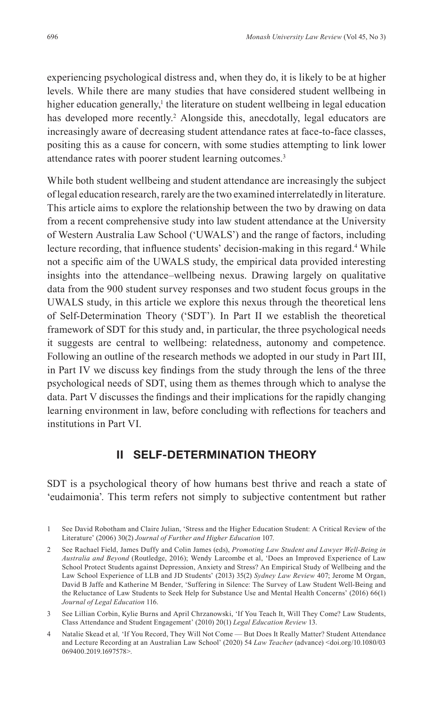experiencing psychological distress and, when they do, it is likely to be at higher levels. While there are many studies that have considered student wellbeing in higher education generally,<sup>1</sup> the literature on student wellbeing in legal education has developed more recently.<sup>2</sup> Alongside this, anecdotally, legal educators are increasingly aware of decreasing student attendance rates at face-to-face classes, positing this as a cause for concern, with some studies attempting to link lower attendance rates with poorer student learning outcomes.<sup>3</sup>

While both student wellbeing and student attendance are increasingly the subject of legal education research, rarely are the two examined interrelatedly in literature. This article aims to explore the relationship between the two by drawing on data from a recent comprehensive study into law student attendance at the University of Western Australia Law School ('UWALS') and the range of factors, including lecture recording, that influence students' decision-making in this regard.<sup>4</sup> While not a specifc aim of the UWALS study, the empirical data provided interesting insights into the attendance–wellbeing nexus. Drawing largely on qualitative data from the 900 student survey responses and two student focus groups in the UWALS study, in this article we explore this nexus through the theoretical lens of Self-Determination Theory ('SDT'). In Part II we establish the theoretical framework of SDT for this study and, in particular, the three psychological needs it suggests are central to wellbeing: relatedness, autonomy and competence. Following an outline of the research methods we adopted in our study in Part III, in Part IV we discuss key fndings from the study through the lens of the three psychological needs of SDT, using them as themes through which to analyse the data. Part V discusses the fndings and their implications for the rapidly changing learning environment in law, before concluding with refections for teachers and institutions in Part VI.

## **II SELF-DETERMINATION THEORY**

SDT is a psychological theory of how humans best thrive and reach a state of 'eudaimonia'. This term refers not simply to subjective contentment but rather

3 See Lillian Corbin, Kylie Burns and April Chrzanowski, 'If You Teach It, Will They Come? Law Students, Class Attendance and Student Engagement' (2010) 20(1) *Legal Education Review* 13.

<sup>1</sup> See David Robotham and Claire Julian, 'Stress and the Higher Education Student: A Critical Review of the Literature' (2006) 30(2) *Journal of Further and Higher Education* 107.

<sup>2</sup> See Rachael Field, James Duffy and Colin James (eds), *Promoting Law Student and Lawyer Well-Being in Australia and Beyond* (Routledge, 2016); Wendy Larcombe et al, 'Does an Improved Experience of Law School Protect Students against Depression, Anxiety and Stress? An Empirical Study of Wellbeing and the Law School Experience of LLB and JD Students' (2013) 35(2) *Sydney Law Review* 407; Jerome M Organ, David B Jaffe and Katherine M Bender, 'Suffering in Silence: The Survey of Law Student Well-Being and the Reluctance of Law Students to Seek Help for Substance Use and Mental Health Concerns' (2016) 66(1) *Journal of Legal Education* 116.

<sup>4</sup> Natalie Skead et al*,* 'If You Record, They Will Not Come — But Does It Really Matter? Student Attendance and Lecture Recording at an Australian Law School' (2020) 54 *Law Teacher* (advance) <doi.org/10.1080/03 069400.2019.1697578>.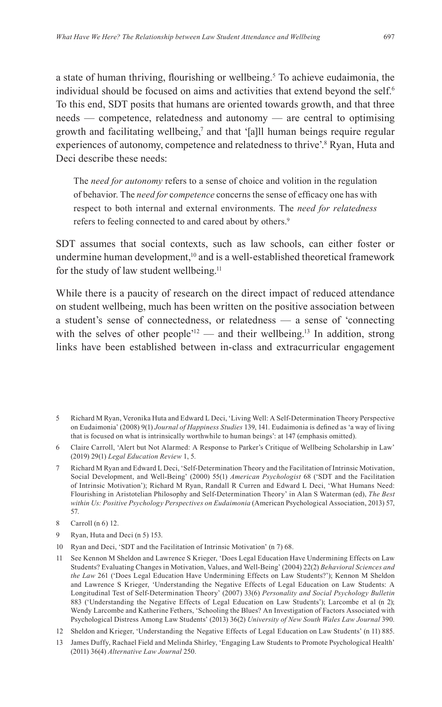a state of human thriving, flourishing or wellbeing.<sup>5</sup> To achieve eudaimonia, the individual should be focused on aims and activities that extend beyond the self.<sup>6</sup> To this end, SDT posits that humans are oriented towards growth, and that three needs — competence, relatedness and autonomy — are central to optimising growth and facilitating wellbeing,7 and that '[a]ll human beings require regular experiences of autonomy, competence and relatedness to thrive'.<sup>8</sup> Ryan, Huta and Deci describe these needs:

The *need for autonomy* refers to a sense of choice and volition in the regulation of behavior. The *need for* c*ompetence* concerns the sense of effcacy one has with respect to both internal and external environments. The *need for relatedness* refers to feeling connected to and cared about by others.<sup>9</sup>

SDT assumes that social contexts, such as law schools, can either foster or undermine human development,<sup>10</sup> and is a well-established theoretical framework for the study of law student wellbeing.<sup>11</sup>

While there is a paucity of research on the direct impact of reduced attendance on student wellbeing, much has been written on the positive association between a student's sense of connectedness, or relatedness — a sense of 'connecting with the selves of other people<sup> $12$ </sup> — and their wellbeing.<sup>13</sup> In addition, strong links have been established between in-class and extracurricular engagement

- 9 Ryan, Huta and Deci (n 5) 153.
- 10 Ryan and Deci, 'SDT and the Facilitation of Intrinsic Motivation' (n 7) 68.
- 11 See Kennon M Sheldon and Lawrence S Krieger, 'Does Legal Education Have Undermining Effects on Law Students? Evaluating Changes in Motivation, Values, and Well-Being' (2004) 22(2) *Behavioral Sciences and the Law* 261 ('Does Legal Education Have Undermining Effects on Law Students?'); Kennon M Sheldon and Lawrence S Krieger, 'Understanding the Negative Effects of Legal Education on Law Students: A Longitudinal Test of Self-Determination Theory' (2007) 33(6) *Personality and Social Psychology Bulletin* 883 ('Understanding the Negative Effects of Legal Education on Law Students'); Larcombe et al (n 2); Wendy Larcombe and Katherine Fethers, 'Schooling the Blues? An Investigation of Factors Associated with Psychological Distress Among Law Students' (2013) 36(2) *University of New South Wales Law Journal* 390.
- 12 Sheldon and Krieger, 'Understanding the Negative Effects of Legal Education on Law Students' (n 11) 885.
- 13 James Duffy, Rachael Field and Melinda Shirley, 'Engaging Law Students to Promote Psychological Health' (2011) 36(4) *Alternative Law Journal* 250.

<sup>5</sup> Richard M Ryan, Veronika Huta and Edward L Deci, 'Living Well: A Self-Determination Theory Perspective on Eudaimonia' (2008) 9(1) *Journal of Happiness Studies* 139, 141. Eudaimonia is defned as 'a way of living that is focused on what is intrinsically worthwhile to human beings': at 147 (emphasis omitted).

<sup>6</sup> Claire Carroll, 'Alert but Not Alarmed: A Response to Parker's Critique of Wellbeing Scholarship in Law' (2019) 29(1) *Legal Education Review* 1, 5.

<sup>7</sup> Richard M Ryan and Edward L Deci, 'Self-Determination Theory and the Facilitation of Intrinsic Motivation, Social Development, and Well-Being' (2000) 55(1) *American Psychologist* 68 ('SDT and the Facilitation of Intrinsic Motivation'); Richard M Ryan, Randall R Curren and Edward L Deci, 'What Humans Need: Flourishing in Aristotelian Philosophy and Self-Determination Theory' in Alan S Waterman (ed), *The Best within Us: Positive Psychology Perspectives on Eudaimonia* (American Psychological Association, 2013) 57, 57.

<sup>8</sup> Carroll (n 6) 12.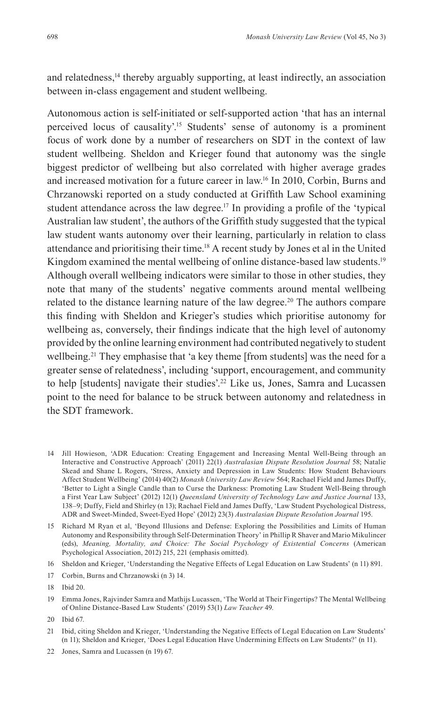and relatedness,<sup>14</sup> thereby arguably supporting, at least indirectly, an association between in-class engagement and student wellbeing.

Autonomous action is self-initiated or self-supported action 'that has an internal perceived locus of causality'.15 Students' sense of autonomy is a prominent focus of work done by a number of researchers on SDT in the context of law student wellbeing. Sheldon and Krieger found that autonomy was the single biggest predictor of wellbeing but also correlated with higher average grades and increased motivation for a future career in law.16 In 2010, Corbin, Burns and Chrzanowski reported on a study conducted at Griffth Law School examining student attendance across the law degree.<sup>17</sup> In providing a profile of the 'typical Australian law student', the authors of the Griffth study suggested that the typical law student wants autonomy over their learning, particularly in relation to class attendance and prioritising their time.18 A recent study by Jones et al in the United Kingdom examined the mental wellbeing of online distance-based law students.<sup>19</sup> Although overall wellbeing indicators were similar to those in other studies, they note that many of the students' negative comments around mental wellbeing related to the distance learning nature of the law degree.<sup>20</sup> The authors compare this fnding with Sheldon and Krieger's studies which prioritise autonomy for wellbeing as, conversely, their fndings indicate that the high level of autonomy provided by the online learning environment had contributed negatively to student wellbeing.<sup>21</sup> They emphasise that 'a key theme [from students] was the need for a greater sense of relatedness', including 'support, encouragement, and community to help [students] navigate their studies'.22 Like us, Jones, Samra and Lucassen point to the need for balance to be struck between autonomy and relatedness in the SDT framework.

<sup>14</sup> Jill Howieson, 'ADR Education: Creating Engagement and Increasing Mental Well-Being through an Interactive and Constructive Approach' (2011) 22(1) *Australasian Dispute Resolution Journal* 58; Natalie Skead and Shane L Rogers, 'Stress, Anxiety and Depression in Law Students: How Student Behaviours Affect Student Wellbeing' (2014) 40(2) *Monash University Law Review* 564; Rachael Field and James Duffy, 'Better to Light a Single Candle than to Curse the Darkness: Promoting Law Student Well-Being through a First Year Law Subject' (2012) 12(1) *Queensland University of Technology Law and Justice Journal* 133, 138–9; Duffy, Field and Shirley (n 13); Rachael Field and James Duffy, 'Law Student Psychological Distress, ADR and Sweet-Minded, Sweet-Eyed Hope' (2012) 23(3) *Australasian Dispute Resolution Journal* 195.

<sup>15</sup> Richard M Ryan et al, 'Beyond Illusions and Defense: Exploring the Possibilities and Limits of Human Autonomy and Responsibility through Self-Determination Theory' in Phillip R Shaver and Mario Mikulincer (eds), *Meaning, Mortality, and Choice: The Social Psychology of Existential Concerns* (American Psychological Association, 2012) 215, 221 (emphasis omitted).

<sup>16</sup> Sheldon and Krieger, 'Understanding the Negative Effects of Legal Education on Law Students' (n 11) 891.

<sup>17</sup> Corbin, Burns and Chrzanowski (n 3) 14.

<sup>18</sup> Ibid 20.

<sup>19</sup> Emma Jones, Rajvinder Samra and Mathijs Lucassen, 'The World at Their Fingertips? The Mental Wellbeing of Online Distance-Based Law Students' (2019) 53(1) *Law Teacher* 49.

<sup>20</sup> Ibid 67.

<sup>21</sup> Ibid, citing Sheldon and Krieger, 'Understanding the Negative Effects of Legal Education on Law Students' (n 11); Sheldon and Krieger, 'Does Legal Education Have Undermining Effects on Law Students?' (n 11).

<sup>22</sup> Jones, Samra and Lucassen (n 19) 67.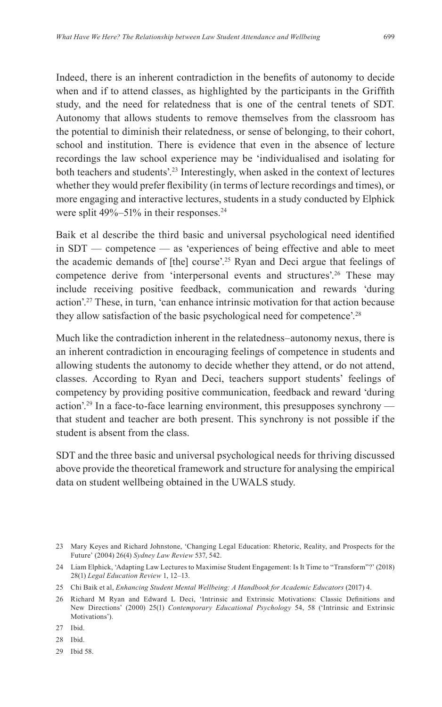Indeed, there is an inherent contradiction in the benefts of autonomy to decide when and if to attend classes, as highlighted by the participants in the Griffth study, and the need for relatedness that is one of the central tenets of SDT. Autonomy that allows students to remove themselves from the classroom has the potential to diminish their relatedness, or sense of belonging, to their cohort, school and institution. There is evidence that even in the absence of lecture recordings the law school experience may be 'individualised and isolating for both teachers and students'.23 Interestingly, when asked in the context of lectures whether they would prefer fexibility (in terms of lecture recordings and times), or more engaging and interactive lectures, students in a study conducted by Elphick were split 49%–51% in their responses.<sup>24</sup>

Baik et al describe the third basic and universal psychological need identifed in SDT — competence — as 'experiences of being effective and able to meet the academic demands of [the] course'.25 Ryan and Deci argue that feelings of competence derive from 'interpersonal events and structures'.26 These may include receiving positive feedback, communication and rewards 'during action'.27 These, in turn, 'can enhance intrinsic motivation for that action because they allow satisfaction of the basic psychological need for competence'.28

Much like the contradiction inherent in the relatedness–autonomy nexus, there is an inherent contradiction in encouraging feelings of competence in students and allowing students the autonomy to decide whether they attend, or do not attend, classes. According to Ryan and Deci, teachers support students' feelings of competency by providing positive communication, feedback and reward 'during action'.29 In a face-to-face learning environment, this presupposes synchrony that student and teacher are both present. This synchrony is not possible if the student is absent from the class.

SDT and the three basic and universal psychological needs for thriving discussed above provide the theoretical framework and structure for analysing the empirical data on student wellbeing obtained in the UWALS study.

29 Ibid 58.

<sup>23</sup> Mary Keyes and Richard Johnstone, 'Changing Legal Education: Rhetoric, Reality, and Prospects for the Future' (2004) 26(4) *Sydney Law Review* 537, 542.

<sup>24</sup> Liam Elphick, 'Adapting Law Lectures to Maximise Student Engagement: Is It Time to "Transform"?' (2018) 28(1) *Legal Education Review* 1, 12–13.

<sup>25</sup> Chi Baik et al, *Enhancing Student Mental Wellbeing: A Handbook for Academic Educators* (2017) 4.

<sup>26</sup> Richard M Ryan and Edward L Deci, 'Intrinsic and Extrinsic Motivations: Classic Defnitions and New Directions' (2000) 25(1) *Contemporary Educational Psychology* 54, 58 ('Intrinsic and Extrinsic Motivations').

<sup>27</sup> Ibid.

<sup>28</sup> Ibid.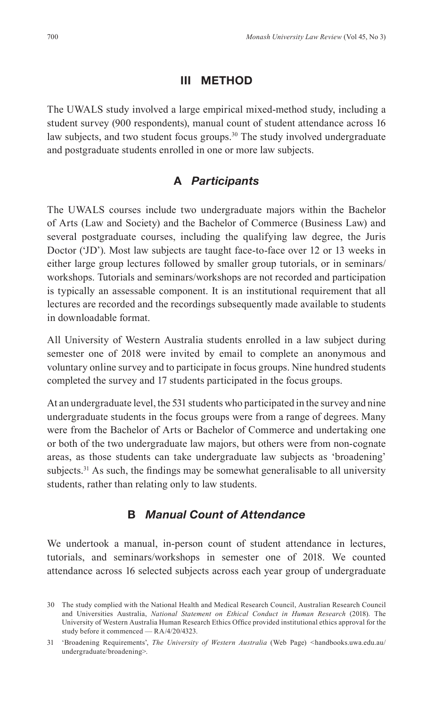#### **III METHOD**

The UWALS study involved a large empirical mixed-method study, including a student survey (900 respondents), manual count of student attendance across 16 law subjects, and two student focus groups.<sup>30</sup> The study involved undergraduate and postgraduate students enrolled in one or more law subjects.

#### **A** *Participants*

The UWALS courses include two undergraduate majors within the Bachelor of Arts (Law and Society) and the Bachelor of Commerce (Business Law) and several postgraduate courses, including the qualifying law degree, the Juris Doctor ('JD'). Most law subjects are taught face-to-face over 12 or 13 weeks in either large group lectures followed by smaller group tutorials, or in seminars/ workshops. Tutorials and seminars/workshops are not recorded and participation is typically an assessable component. It is an institutional requirement that all lectures are recorded and the recordings subsequently made available to students in downloadable format.

All University of Western Australia students enrolled in a law subject during semester one of 2018 were invited by email to complete an anonymous and voluntary online survey and to participate in focus groups. Nine hundred students completed the survey and 17 students participated in the focus groups.

At an undergraduate level, the 531 students who participated in the survey and nine undergraduate students in the focus groups were from a range of degrees. Many were from the Bachelor of Arts or Bachelor of Commerce and undertaking one or both of the two undergraduate law majors, but others were from non-cognate areas, as those students can take undergraduate law subjects as 'broadening' subjects.<sup>31</sup> As such, the findings may be somewhat generalisable to all university students, rather than relating only to law students.

#### **B** *Manual Count of Attendance*

We undertook a manual, in-person count of student attendance in lectures, tutorials, and seminars/workshops in semester one of 2018. We counted attendance across 16 selected subjects across each year group of undergraduate

<sup>30</sup> The study complied with the National Health and Medical Research Council, Australian Research Council and Universities Australia, *National Statement on Ethical Conduct in Human Research* (2018). The University of Western Australia Human Research Ethics Office provided institutional ethics approval for the study before it commenced — RA/4/20/4323.

<sup>31</sup> 'Broadening Requirements', *The University of Western Australia* (Web Page) *<*handbooks.uwa.edu.au/ undergraduate/broadening>.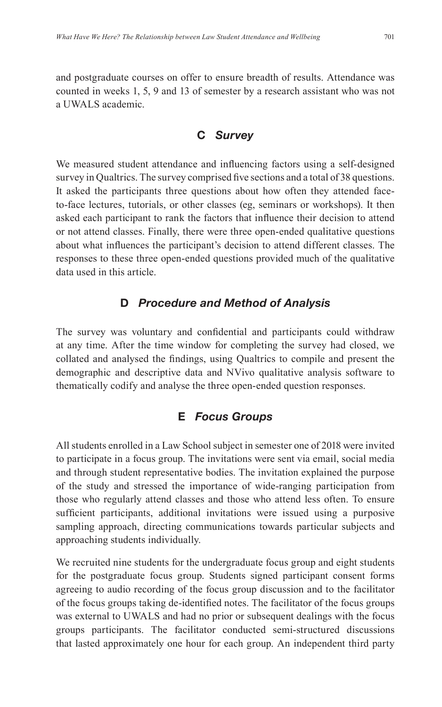and postgraduate courses on offer to ensure breadth of results. Attendance was counted in weeks 1, 5, 9 and 13 of semester by a research assistant who was not a UWALS academic.

#### **C** *Survey*

We measured student attendance and infuencing factors using a self-designed survey in Qualtrics. The survey comprised fve sections and a total of 38 questions. It asked the participants three questions about how often they attended faceto-face lectures, tutorials, or other classes (eg, seminars or workshops). It then asked each participant to rank the factors that infuence their decision to attend or not attend classes. Finally, there were three open-ended qualitative questions about what infuences the participant's decision to attend different classes. The responses to these three open-ended questions provided much of the qualitative data used in this article.

## **D** *Procedure and Method of Analysis*

The survey was voluntary and confdential and participants could withdraw at any time. After the time window for completing the survey had closed, we collated and analysed the fndings, using Qualtrics to compile and present the demographic and descriptive data and NVivo qualitative analysis software to thematically codify and analyse the three open-ended question responses.

## **E** *Focus Groups*

All students enrolled in a Law School subject in semester one of 2018 were invited to participate in a focus group. The invitations were sent via email, social media and through student representative bodies. The invitation explained the purpose of the study and stressed the importance of wide-ranging participation from those who regularly attend classes and those who attend less often. To ensure sufficient participants, additional invitations were issued using a purposive sampling approach, directing communications towards particular subjects and approaching students individually.

We recruited nine students for the undergraduate focus group and eight students for the postgraduate focus group. Students signed participant consent forms agreeing to audio recording of the focus group discussion and to the facilitator of the focus groups taking de-identifed notes. The facilitator of the focus groups was external to UWALS and had no prior or subsequent dealings with the focus groups participants. The facilitator conducted semi-structured discussions that lasted approximately one hour for each group. An independent third party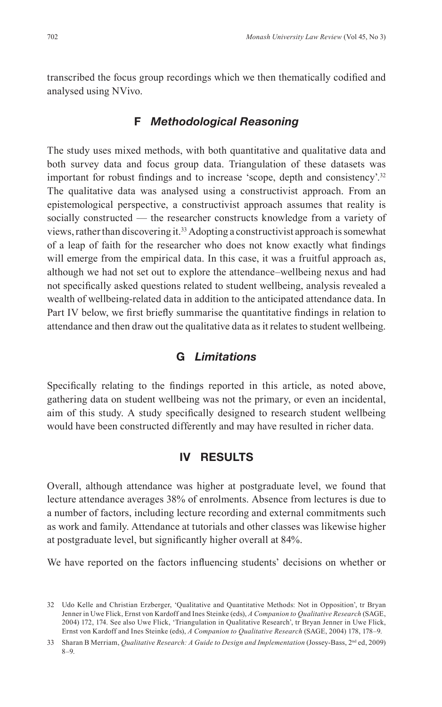transcribed the focus group recordings which we then thematically codifed and analysed using NVivo.

#### **F** *Methodological Reasoning*

The study uses mixed methods, with both quantitative and qualitative data and both survey data and focus group data. Triangulation of these datasets was important for robust fndings and to increase 'scope, depth and consistency'.<sup>32</sup> The qualitative data was analysed using a constructivist approach. From an epistemological perspective, a constructivist approach assumes that reality is socially constructed — the researcher constructs knowledge from a variety of views, rather than discovering it.33 Adopting a constructivist approach is somewhat of a leap of faith for the researcher who does not know exactly what fndings will emerge from the empirical data. In this case, it was a fruitful approach as, although we had not set out to explore the attendance–wellbeing nexus and had not specifcally asked questions related to student wellbeing, analysis revealed a wealth of wellbeing-related data in addition to the anticipated attendance data. In Part IV below, we frst briefy summarise the quantitative fndings in relation to attendance and then draw out the qualitative data as it relates to student wellbeing.

## **G** *Limitations*

Specifcally relating to the fndings reported in this article, as noted above, gathering data on student wellbeing was not the primary, or even an incidental, aim of this study. A study specifcally designed to research student wellbeing would have been constructed differently and may have resulted in richer data.

#### **IV RESULTS**

Overall, although attendance was higher at postgraduate level, we found that lecture attendance averages 38% of enrolments. Absence from lectures is due to a number of factors, including lecture recording and external commitments such as work and family. Attendance at tutorials and other classes was likewise higher at postgraduate level, but signifcantly higher overall at 84%.

We have reported on the factors infuencing students' decisions on whether or

<sup>32</sup> Udo Kelle and Christian Erzberger, 'Qualitative and Quantitative Methods: Not in Opposition', tr Bryan Jenner in Uwe Flick, Ernst von Kardoff and Ines Steinke (eds), *A Companion to Qualitative Research* (SAGE, 2004) 172, 174. See also Uwe Flick, 'Triangulation in Qualitative Research', tr Bryan Jenner in Uwe Flick, Ernst von Kardoff and Ines Steinke (eds), *A Companion to Qualitative Research* (SAGE, 2004) 178, 178–9.

<sup>33</sup> Sharan B Merriam, *Qualitative Research: A Guide to Design and Implementation* (Jossey-Bass, 2<sup>nd</sup> ed, 2009) 8–9.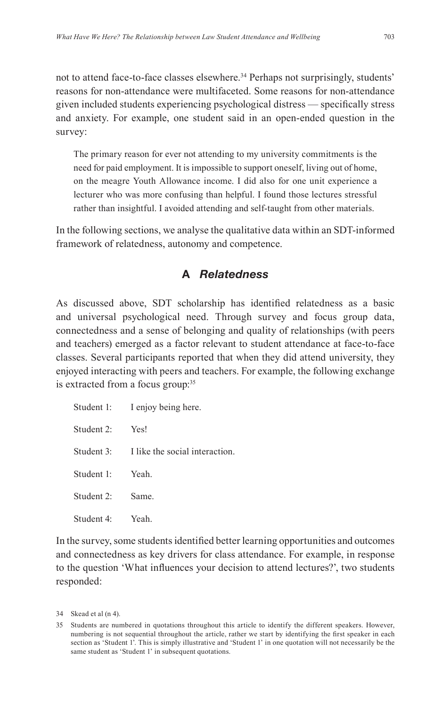not to attend face-to-face classes elsewhere.<sup>34</sup> Perhaps not surprisingly, students' reasons for non-attendance were multifaceted. Some reasons for non-attendance given included students experiencing psychological distress — specifcally stress and anxiety. For example, one student said in an open-ended question in the survey:

The primary reason for ever not attending to my university commitments is the need for paid employment. It is impossible to support oneself, living out of home, on the meagre Youth Allowance income. I did also for one unit experience a lecturer who was more confusing than helpful. I found those lectures stressful rather than insightful. I avoided attending and self-taught from other materials.

In the following sections, we analyse the qualitative data within an SDT-informed framework of relatedness, autonomy and competence.

## **A** *Relatedness*

As discussed above, SDT scholarship has identifed relatedness as a basic and universal psychological need. Through survey and focus group data, connectedness and a sense of belonging and quality of relationships (with peers and teachers) emerged as a factor relevant to student attendance at face-to-face classes. Several participants reported that when they did attend university, they enjoyed interacting with peers and teachers. For example, the following exchange is extracted from a focus group:<sup>35</sup>

|            | Student 1: I enjoy being here.            |
|------------|-------------------------------------------|
| Student 2: | Yes!                                      |
|            | Student 3: I like the social interaction. |
| Student 1: | Yeah.                                     |
| Student 2: | Same.                                     |
| Student 4: | Yeah.                                     |

In the survey, some students identifed better learning opportunities and outcomes and connectedness as key drivers for class attendance. For example, in response to the question 'What infuences your decision to attend lectures?', two students responded:

<sup>34</sup> Skead et al (n 4).

<sup>35</sup> Students are numbered in quotations throughout this article to identify the different speakers. However, numbering is not sequential throughout the article, rather we start by identifying the frst speaker in each section as 'Student 1'. This is simply illustrative and 'Student 1' in one quotation will not necessarily be the same student as 'Student 1' in subsequent quotations.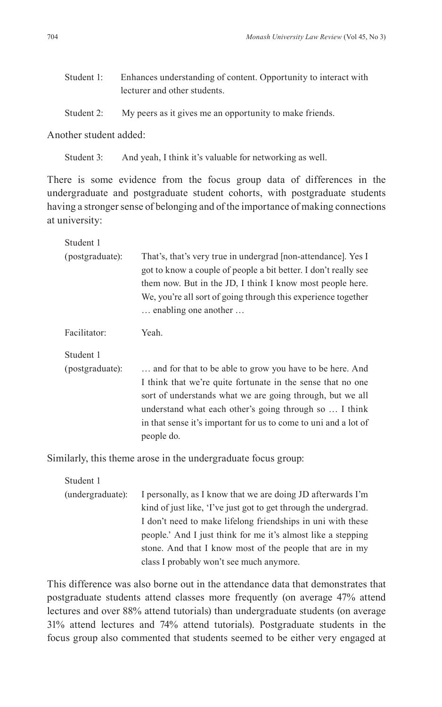| Student 1: | Enhances understanding of content. Opportunity to interact with |  |
|------------|-----------------------------------------------------------------|--|
|            | lecturer and other students.                                    |  |
| Student 2: | My peers as it gives me an opportunity to make friends.         |  |

Another student added:

Student 3: And yeah, I think it's valuable for networking as well.

There is some evidence from the focus group data of differences in the undergraduate and postgraduate student cohorts, with postgraduate students having a stronger sense of belonging and of the importance of making connections at university:

| Student 1       |                                                                                                                                                                                                                                                                                                                                 |
|-----------------|---------------------------------------------------------------------------------------------------------------------------------------------------------------------------------------------------------------------------------------------------------------------------------------------------------------------------------|
| (postgraduate): | That's, that's very true in undergrad [non-attendance]. Yes I<br>got to know a couple of people a bit better. I don't really see<br>them now. But in the JD, I think I know most people here.<br>We, you're all sort of going through this experience together<br>enabling one another                                          |
| Facilitator:    | Yeah.                                                                                                                                                                                                                                                                                                                           |
| Student 1       |                                                                                                                                                                                                                                                                                                                                 |
| (postgraduate): | and for that to be able to grow you have to be here. And<br>I think that we're quite fortunate in the sense that no one<br>sort of understands what we are going through, but we all<br>understand what each other's going through so  I think<br>in that sense it's important for us to come to uni and a lot of<br>people do. |

Similarly, this theme arose in the undergraduate focus group:

Student 1

(undergraduate): I personally, as I know that we are doing JD afterwards I'm kind of just like, 'I've just got to get through the undergrad. I don't need to make lifelong friendships in uni with these people.' And I just think for me it's almost like a stepping stone. And that I know most of the people that are in my class I probably won't see much anymore.

This difference was also borne out in the attendance data that demonstrates that postgraduate students attend classes more frequently (on average 47% attend lectures and over 88% attend tutorials) than undergraduate students (on average 31% attend lectures and 74% attend tutorials). Postgraduate students in the focus group also commented that students seemed to be either very engaged at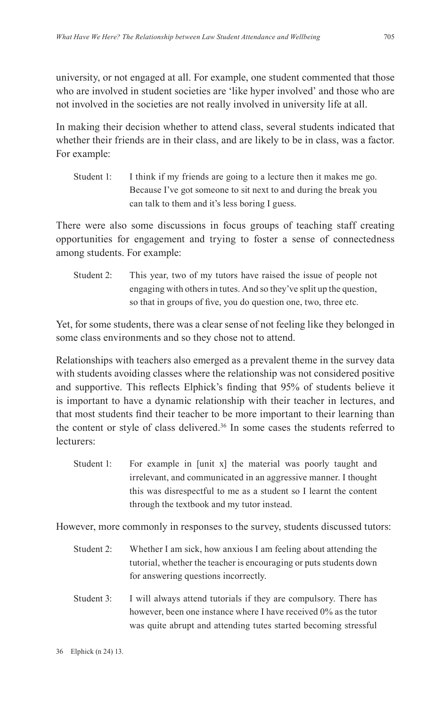university, or not engaged at all. For example, one student commented that those who are involved in student societies are 'like hyper involved' and those who are not involved in the societies are not really involved in university life at all.

In making their decision whether to attend class, several students indicated that whether their friends are in their class, and are likely to be in class, was a factor. For example:

Student 1: I think if my friends are going to a lecture then it makes me go. Because I've got someone to sit next to and during the break you can talk to them and it's less boring I guess.

There were also some discussions in focus groups of teaching staff creating opportunities for engagement and trying to foster a sense of connectedness among students. For example:

Student 2: This year, two of my tutors have raised the issue of people not engaging with others in tutes. And so they've split up the question, so that in groups of fve, you do question one, two, three etc.

Yet, for some students, there was a clear sense of not feeling like they belonged in some class environments and so they chose not to attend.

Relationships with teachers also emerged as a prevalent theme in the survey data with students avoiding classes where the relationship was not considered positive and supportive. This refects Elphick's fnding that 95% of students believe it is important to have a dynamic relationship with their teacher in lectures, and that most students fnd their teacher to be more important to their learning than the content or style of class delivered.<sup>36</sup> In some cases the students referred to lecturers:

Student 1: For example in [unit x] the material was poorly taught and irrelevant, and communicated in an aggressive manner. I thought this was disrespectful to me as a student so I learnt the content through the textbook and my tutor instead.

However, more commonly in responses to the survey, students discussed tutors:

- Student 2: Whether I am sick, how anxious I am feeling about attending the tutorial, whether the teacher is encouraging or puts students down for answering questions incorrectly.
- Student 3: I will always attend tutorials if they are compulsory. There has however, been one instance where I have received 0% as the tutor was quite abrupt and attending tutes started becoming stressful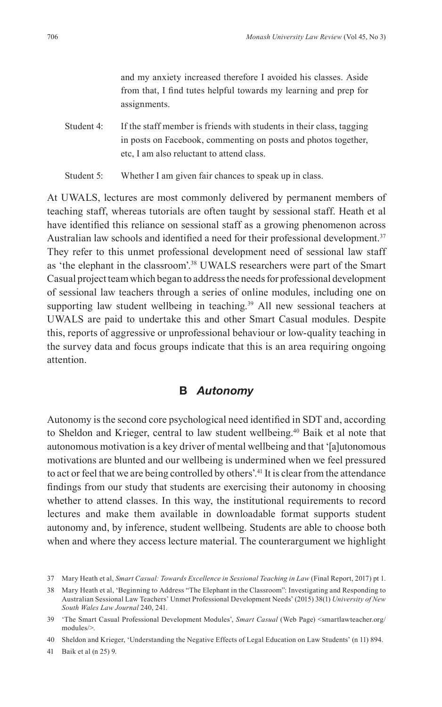and my anxiety increased therefore I avoided his classes. Aside from that, I fnd tutes helpful towards my learning and prep for assignments.

- Student 4: If the staff member is friends with students in their class, tagging in posts on Facebook, commenting on posts and photos together, etc, I am also reluctant to attend class.
- Student 5: Whether I am given fair chances to speak up in class.

At UWALS, lectures are most commonly delivered by permanent members of teaching staff, whereas tutorials are often taught by sessional staff. Heath et al have identifed this reliance on sessional staff as a growing phenomenon across Australian law schools and identified a need for their professional development.<sup>37</sup> They refer to this unmet professional development need of sessional law staff as 'the elephant in the classroom'.38 UWALS researchers were part of the Smart Casual project team which began to address the needs for professional development of sessional law teachers through a series of online modules, including one on supporting law student wellbeing in teaching.<sup>39</sup> All new sessional teachers at UWALS are paid to undertake this and other Smart Casual modules. Despite this, reports of aggressive or unprofessional behaviour or low-quality teaching in the survey data and focus groups indicate that this is an area requiring ongoing attention.

#### **B** *Autonomy*

Autonomy is the second core psychological need identifed in SDT and, according to Sheldon and Krieger, central to law student wellbeing.40 Baik et al note that autonomous motivation is a key driver of mental wellbeing and that '[a]utonomous motivations are blunted and our wellbeing is undermined when we feel pressured to act or feel that we are being controlled by others'.<sup>41</sup> It is clear from the attendance fndings from our study that students are exercising their autonomy in choosing whether to attend classes. In this way, the institutional requirements to record lectures and make them available in downloadable format supports student autonomy and, by inference, student wellbeing. Students are able to choose both when and where they access lecture material. The counterargument we highlight

41 Baik et al (n 25) 9.

<sup>37</sup> Mary Heath et al, *Smart Casual: Towards Excellence in Sessional Teaching in Law* (Final Report, 2017) pt 1.

<sup>38</sup> Mary Heath et al, 'Beginning to Address "The Elephant in the Classroom": Investigating and Responding to Australian Sessional Law Teachers' Unmet Professional Development Needs' (2015) 38(1) *University of New South Wales Law Journal* 240, 241.

<sup>39 &#</sup>x27;The Smart Casual Professional Development Modules', *Smart Casual* (Web Page) <smartlawteacher.org/ modules/>.

<sup>40</sup> Sheldon and Krieger, 'Understanding the Negative Effects of Legal Education on Law Students' (n 11) 894.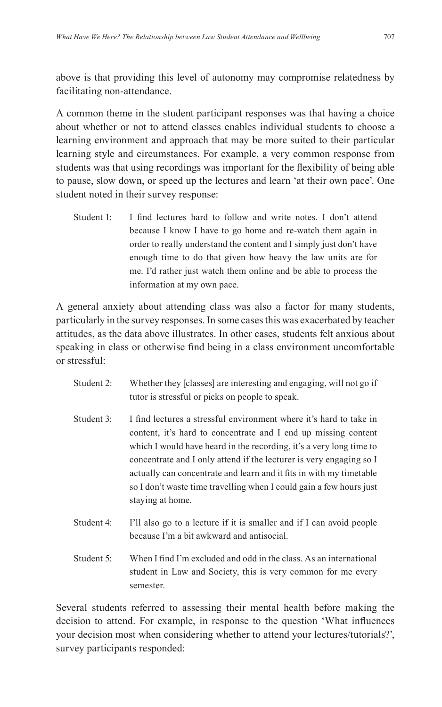above is that providing this level of autonomy may compromise relatedness by facilitating non-attendance.

A common theme in the student participant responses was that having a choice about whether or not to attend classes enables individual students to choose a learning environment and approach that may be more suited to their particular learning style and circumstances. For example, a very common response from students was that using recordings was important for the fexibility of being able to pause, slow down, or speed up the lectures and learn 'at their own pace'. One student noted in their survey response:

Student 1: I find lectures hard to follow and write notes. I don't attend because I know I have to go home and re-watch them again in order to really understand the content and I simply just don't have enough time to do that given how heavy the law units are for me. I'd rather just watch them online and be able to process the information at my own pace.

A general anxiety about attending class was also a factor for many students, particularly in the survey responses. In some cases this was exacerbated by teacher attitudes, as the data above illustrates. In other cases, students felt anxious about speaking in class or otherwise fnd being in a class environment uncomfortable or stressful:

- Student 2: Whether they [classes] are interesting and engaging, will not go if tutor is stressful or picks on people to speak.
- Student 3: I find lectures a stressful environment where it's hard to take in content, it's hard to concentrate and I end up missing content which I would have heard in the recording, it's a very long time to concentrate and I only attend if the lecturer is very engaging so I actually can concentrate and learn and it fts in with my timetable so I don't waste time travelling when I could gain a few hours just staying at home.
- Student 4: I'll also go to a lecture if it is smaller and if I can avoid people because I'm a bit awkward and antisocial.
- Student 5: When I find I'm excluded and odd in the class. As an international student in Law and Society, this is very common for me every semester.

Several students referred to assessing their mental health before making the decision to attend. For example, in response to the question 'What infuences your decision most when considering whether to attend your lectures/tutorials?', survey participants responded: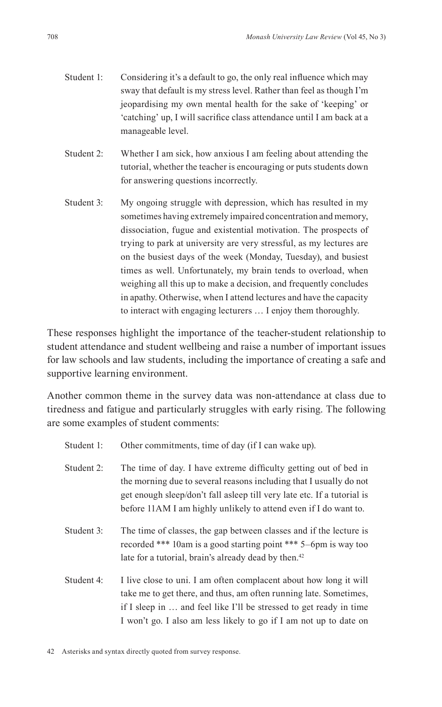- Student 1: Considering it's a default to go, the only real influence which may sway that default is my stress level. Rather than feel as though I'm jeopardising my own mental health for the sake of 'keeping' or 'catching' up, I will sacrifce class attendance until I am back at a manageable level.
- Student 2: Whether I am sick, how anxious I am feeling about attending the tutorial, whether the teacher is encouraging or puts students down for answering questions incorrectly.
- Student 3: My ongoing struggle with depression, which has resulted in my sometimes having extremely impaired concentration and memory, dissociation, fugue and existential motivation. The prospects of trying to park at university are very stressful, as my lectures are on the busiest days of the week (Monday, Tuesday), and busiest times as well. Unfortunately, my brain tends to overload, when weighing all this up to make a decision, and frequently concludes in apathy. Otherwise, when I attend lectures and have the capacity to interact with engaging lecturers … I enjoy them thoroughly.

These responses highlight the importance of the teacher-student relationship to student attendance and student wellbeing and raise a number of important issues for law schools and law students, including the importance of creating a safe and supportive learning environment.

Another common theme in the survey data was non-attendance at class due to tiredness and fatigue and particularly struggles with early rising. The following are some examples of student comments:

- Student 1: Other commitments, time of day (if I can wake up).
- Student 2: The time of day. I have extreme difficulty getting out of bed in the morning due to several reasons including that I usually do not get enough sleep/don't fall asleep till very late etc. If a tutorial is before 11AM I am highly unlikely to attend even if I do want to.
- Student 3: The time of classes, the gap between classes and if the lecture is recorded \*\*\* 10am is a good starting point \*\*\* 5–6pm is way too late for a tutorial, brain's already dead by then.<sup>42</sup>
- Student 4: I live close to uni. I am often complacent about how long it will take me to get there, and thus, am often running late. Sometimes, if I sleep in … and feel like I'll be stressed to get ready in time I won't go. I also am less likely to go if I am not up to date on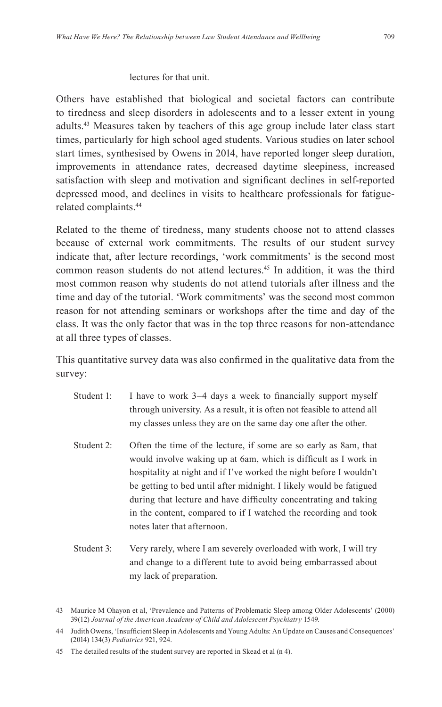#### lectures for that unit.

Others have established that biological and societal factors can contribute to tiredness and sleep disorders in adolescents and to a lesser extent in young adults.43 Measures taken by teachers of this age group include later class start times, particularly for high school aged students. Various studies on later school start times, synthesised by Owens in 2014, have reported longer sleep duration, improvements in attendance rates, decreased daytime sleepiness, increased satisfaction with sleep and motivation and signifcant declines in self-reported depressed mood, and declines in visits to healthcare professionals for fatiguerelated complaints.44

Related to the theme of tiredness, many students choose not to attend classes because of external work commitments. The results of our student survey indicate that, after lecture recordings, 'work commitments' is the second most common reason students do not attend lectures.45 In addition, it was the third most common reason why students do not attend tutorials after illness and the time and day of the tutorial. 'Work commitments' was the second most common reason for not attending seminars or workshops after the time and day of the class. It was the only factor that was in the top three reasons for non-attendance at all three types of classes.

This quantitative survey data was also confrmed in the qualitative data from the survey:

- Student 1: I have to work 3–4 days a week to financially support myself through university. As a result, it is often not feasible to attend all my classes unless they are on the same day one after the other.
- Student 2: Often the time of the lecture, if some are so early as 8am, that would involve waking up at 6am, which is difficult as I work in hospitality at night and if I've worked the night before I wouldn't be getting to bed until after midnight. I likely would be fatigued during that lecture and have difficulty concentrating and taking in the content, compared to if I watched the recording and took notes later that afternoon.
- Student 3: Very rarely, where I am severely overloaded with work, I will try and change to a different tute to avoid being embarrassed about my lack of preparation.

<sup>43</sup> Maurice M Ohayon et al, 'Prevalence and Patterns of Problematic Sleep among Older Adolescents' (2000) 39(12) *Journal of the American Academy of Child and Adolescent Psychiatry* 1549.

<sup>44</sup> Judith Owens, 'Insuffcient Sleep in Adolescents and Young Adults: An Update on Causes and Consequences' (2014) 134(3) *Pediatrics* 921, 924.

<sup>45</sup> The detailed results of the student survey are reported in Skead et al (n 4).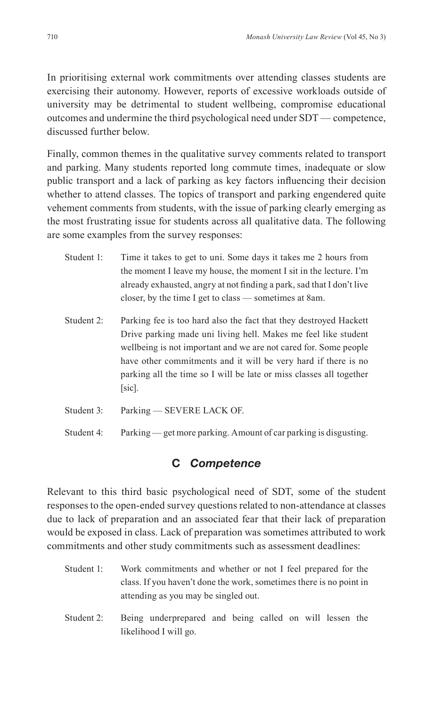In prioritising external work commitments over attending classes students are exercising their autonomy. However, reports of excessive workloads outside of university may be detrimental to student wellbeing, compromise educational outcomes and undermine the third psychological need under SDT — competence, discussed further below.

Finally, common themes in the qualitative survey comments related to transport and parking. Many students reported long commute times, inadequate or slow public transport and a lack of parking as key factors infuencing their decision whether to attend classes. The topics of transport and parking engendered quite vehement comments from students, with the issue of parking clearly emerging as the most frustrating issue for students across all qualitative data. The following are some examples from the survey responses:

- Student 1: Time it takes to get to uni. Some days it takes me 2 hours from the moment I leave my house, the moment I sit in the lecture. I'm already exhausted, angry at not fnding a park, sad that I don't live closer, by the time I get to class — sometimes at 8am.
- Student 2: Parking fee is too hard also the fact that they destroyed Hackett Drive parking made uni living hell. Makes me feel like student wellbeing is not important and we are not cared for. Some people have other commitments and it will be very hard if there is no parking all the time so I will be late or miss classes all together [sic].
- Student 3: Parking SEVERE LACK OF.
- Student 4: Parking get more parking. Amount of car parking is disgusting.

## **C** *Competence*

Relevant to this third basic psychological need of SDT, some of the student responses to the open-ended survey questions related to non-attendance at classes due to lack of preparation and an associated fear that their lack of preparation would be exposed in class. Lack of preparation was sometimes attributed to work commitments and other study commitments such as assessment deadlines:

- Student 1: Work commitments and whether or not I feel prepared for the class. If you haven't done the work, sometimes there is no point in attending as you may be singled out.
- Student 2: Being underprepared and being called on will lessen the likelihood I will go.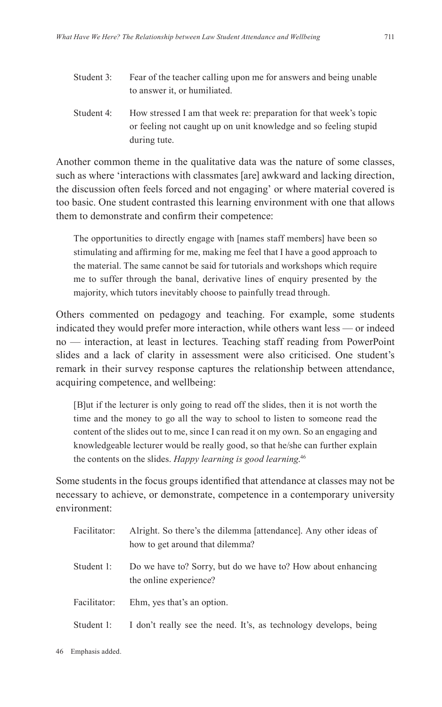- Student 3: Fear of the teacher calling upon me for answers and being unable to answer it, or humiliated.
- Student 4: How stressed I am that week re: preparation for that week's topic or feeling not caught up on unit knowledge and so feeling stupid during tute.

Another common theme in the qualitative data was the nature of some classes, such as where 'interactions with classmates [are] awkward and lacking direction, the discussion often feels forced and not engaging' or where material covered is too basic. One student contrasted this learning environment with one that allows them to demonstrate and confrm their competence:

The opportunities to directly engage with [names staff members] have been so stimulating and affrming for me, making me feel that I have a good approach to the material. The same cannot be said for tutorials and workshops which require me to suffer through the banal, derivative lines of enquiry presented by the majority, which tutors inevitably choose to painfully tread through.

Others commented on pedagogy and teaching. For example, some students indicated they would prefer more interaction, while others want less — or indeed no — interaction, at least in lectures. Teaching staff reading from PowerPoint slides and a lack of clarity in assessment were also criticised. One student's remark in their survey response captures the relationship between attendance, acquiring competence, and wellbeing:

[B]ut if the lecturer is only going to read off the slides, then it is not worth the time and the money to go all the way to school to listen to someone read the content of the slides out to me, since I can read it on my own. So an engaging and knowledgeable lecturer would be really good, so that he/she can further explain the contents on the slides. *Happy learning is good learning*. 46

Some students in the focus groups identifed that attendance at classes may not be necessary to achieve, or demonstrate, competence in a contemporary university environment:

| Facilitator: | Alright. So there's the dilemma [attendance]. Any other ideas of<br>how to get around that dilemma? |
|--------------|-----------------------------------------------------------------------------------------------------|
| Student 1:   | Do we have to? Sorry, but do we have to? How about enhancing<br>the online experience?              |
| Facilitator: | Ehm, yes that's an option.                                                                          |
| Student 1:   | I don't really see the need. It's, as technology develops, being                                    |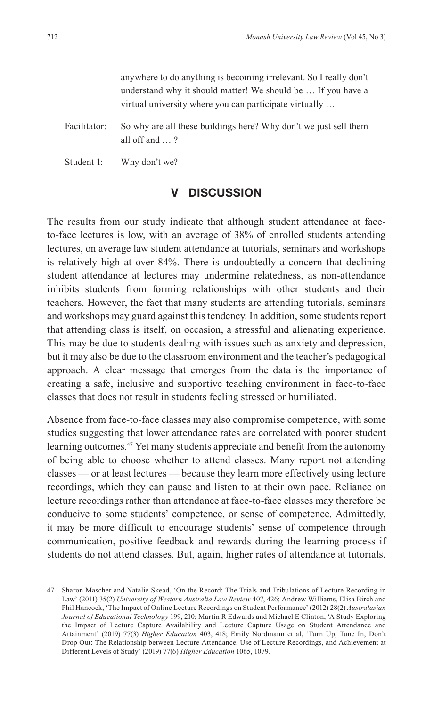anywhere to do anything is becoming irrelevant. So I really don't understand why it should matter! We should be … If you have a virtual university where you can participate virtually …

Facilitator: So why are all these buildings here? Why don't we just sell them all off and … ?

Student 1: Why don't we?

#### **V DISCUSSION**

The results from our study indicate that although student attendance at faceto-face lectures is low, with an average of 38% of enrolled students attending lectures, on average law student attendance at tutorials, seminars and workshops is relatively high at over 84%. There is undoubtedly a concern that declining student attendance at lectures may undermine relatedness, as non-attendance inhibits students from forming relationships with other students and their teachers. However, the fact that many students are attending tutorials, seminars and workshops may guard against this tendency. In addition, some students report that attending class is itself, on occasion, a stressful and alienating experience. This may be due to students dealing with issues such as anxiety and depression, but it may also be due to the classroom environment and the teacher's pedagogical approach. A clear message that emerges from the data is the importance of creating a safe, inclusive and supportive teaching environment in face-to-face classes that does not result in students feeling stressed or humiliated.

Absence from face-to-face classes may also compromise competence, with some studies suggesting that lower attendance rates are correlated with poorer student learning outcomes.<sup>47</sup> Yet many students appreciate and benefit from the autonomy of being able to choose whether to attend classes. Many report not attending classes — or at least lectures — because they learn more effectively using lecture recordings, which they can pause and listen to at their own pace. Reliance on lecture recordings rather than attendance at face-to-face classes may therefore be conducive to some students' competence, or sense of competence. Admittedly, it may be more diffcult to encourage students' sense of competence through communication, positive feedback and rewards during the learning process if students do not attend classes. But, again, higher rates of attendance at tutorials,

<sup>47</sup> Sharon Mascher and Natalie Skead, 'On the Record: The Trials and Tribulations of Lecture Recording in Law' (2011) 35(2) *University of Western Australia Law Review* 407, 426; Andrew Williams, Elisa Birch and Phil Hancock, 'The Impact of Online Lecture Recordings on Student Performance' (2012) 28(2) *Australasian Journal of Educational Technology* 199, 210; Martin R Edwards and Michael E Clinton, 'A Study Exploring the Impact of Lecture Capture Availability and Lecture Capture Usage on Student Attendance and Attainment' (2019) 77(3) *Higher Education* 403, 418; Emily Nordmann et al, 'Turn Up, Tune In, Don't Drop Out: The Relationship between Lecture Attendance, Use of Lecture Recordings, and Achievement at Different Levels of Study' (2019) 77(6) *Higher Education* 1065, 1079.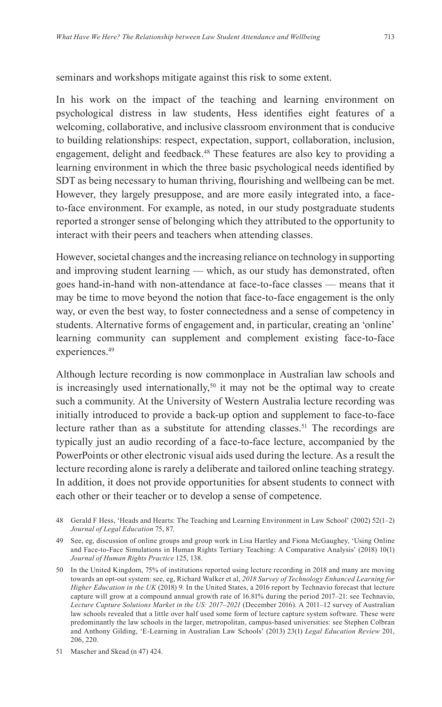In his work on the impact of the teaching and learning environment on psychological distress in law students, Hess identifes eight features of a welcoming, collaborative, and inclusive classroom environment that is conducive to building relationships: respect, expectation, support, collaboration, inclusion, engagement, delight and feedback.<sup>48</sup> These features are also key to providing a learning environment in which the three basic psychological needs identifed by SDT as being necessary to human thriving, fourishing and wellbeing can be met. However, they largely presuppose, and are more easily integrated into, a faceto-face environment. For example, as noted, in our study postgraduate students reported a stronger sense of belonging which they attributed to the opportunity to interact with their peers and teachers when attending classes.

However, societal changes and the increasing reliance on technology in supporting and improving student learning — which, as our study has demonstrated, often goes hand-in-hand with non-attendance at face-to-face classes — means that it may be time to move beyond the notion that face-to-face engagement is the only way, or even the best way, to foster connectedness and a sense of competency in students. Alternative forms of engagement and, in particular, creating an 'online' learning community can supplement and complement existing face-to-face experiences.<sup>49</sup>

Although lecture recording is now commonplace in Australian law schools and is increasingly used internationally,<sup>50</sup> it may not be the optimal way to create such a community. At the University of Western Australia lecture recording was initially introduced to provide a back-up option and supplement to face-to-face lecture rather than as a substitute for attending classes.<sup>51</sup> The recordings are typically just an audio recording of a face-to-face lecture, accompanied by the PowerPoints or other electronic visual aids used during the lecture. As a result the lecture recording alone is rarely a deliberate and tailored online teaching strategy. In addition, it does not provide opportunities for absent students to connect with each other or their teacher or to develop a sense of competence.

<sup>48</sup> Gerald F Hess, 'Heads and Hearts: The Teaching and Learning Environment in Law School' (2002) 52(1–2) *Journal of Legal Education* 75, 87.

<sup>49</sup> See, eg, discussion of online groups and group work in Lisa Hartley and Fiona McGaughey, 'Using Online and Face-to-Face Simulations in Human Rights Tertiary Teaching: A Comparative Analysis' (2018) 10(1) *Journal of Human Rights Practice* 125, 138.

<sup>50</sup> In the United Kingdom, 75% of institutions reported using lecture recording in 2018 and many are moving towards an opt-out system: see, eg, Richard Walker et al, *2018 Survey of Technology Enhanced Learning for Higher Education in the UK* (2018) 9. In the United States, a 2016 report by Technavio forecast that lecture capture will grow at a compound annual growth rate of 16.81% during the period 2017–21: see Technavio, *Lecture Capture Solutions Market in the US: 2017–2021* (December 2016). A 2011–12 survey of Australian law schools revealed that a little over half used some form of lecture capture system software. These were predominantly the law schools in the larger, metropolitan, campus-based universities: see Stephen Colbran and Anthony Gilding, 'E-Learning in Australian Law Schools' (2013) 23(1) *Legal Education Review* 201, 206, 220.

<sup>51</sup> Mascher and Skead (n 47) 424.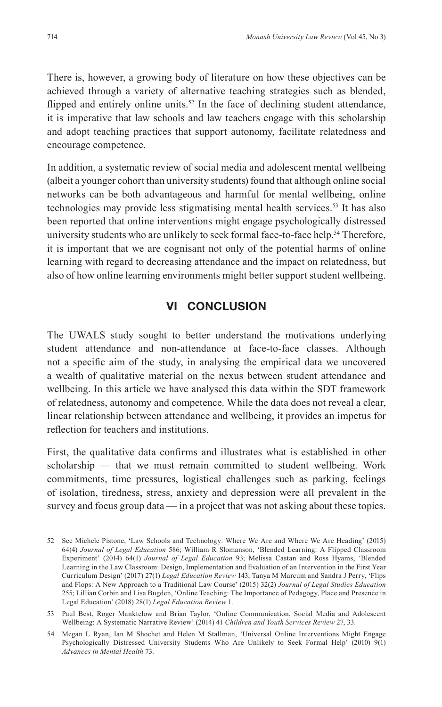There is, however, a growing body of literature on how these objectives can be achieved through a variety of alternative teaching strategies such as blended, flipped and entirely online units.<sup>52</sup> In the face of declining student attendance, it is imperative that law schools and law teachers engage with this scholarship and adopt teaching practices that support autonomy, facilitate relatedness and encourage competence.

In addition, a systematic review of social media and adolescent mental wellbeing (albeit a younger cohort than university students) found that although online social networks can be both advantageous and harmful for mental wellbeing, online technologies may provide less stigmatising mental health services.<sup>53</sup> It has also been reported that online interventions might engage psychologically distressed university students who are unlikely to seek formal face-to-face help.<sup>54</sup> Therefore, it is important that we are cognisant not only of the potential harms of online learning with regard to decreasing attendance and the impact on relatedness, but also of how online learning environments might better support student wellbeing.

## **VI CONCLUSION**

The UWALS study sought to better understand the motivations underlying student attendance and non-attendance at face-to-face classes. Although not a specifc aim of the study, in analysing the empirical data we uncovered a wealth of qualitative material on the nexus between student attendance and wellbeing. In this article we have analysed this data within the SDT framework of relatedness, autonomy and competence. While the data does not reveal a clear, linear relationship between attendance and wellbeing, it provides an impetus for refection for teachers and institutions.

First, the qualitative data confrms and illustrates what is established in other scholarship — that we must remain committed to student wellbeing. Work commitments, time pressures, logistical challenges such as parking, feelings of isolation, tiredness, stress, anxiety and depression were all prevalent in the survey and focus group data — in a project that was not asking about these topics.

<sup>52</sup> See Michele Pistone, 'Law Schools and Technology: Where We Are and Where We Are Heading' (2015) 64(4) *Journal of Legal Education* 586; William R Slomanson, 'Blended Learning: A Flipped Classroom Experiment' (2014) 64(1) *Journal of Legal Education* 93; Melissa Castan and Ross Hyams, 'Blended Learning in the Law Classroom: Design, Implementation and Evaluation of an Intervention in the First Year Curriculum Design' (2017) 27(1) *Legal Education Review* 143; Tanya M Marcum and Sandra J Perry, 'Flips and Flops: A New Approach to a Traditional Law Course' (2015) 32(2) *Journal of Legal Studies Education*  255; Lillian Corbin and Lisa Bugden, 'Online Teaching: The Importance of Pedagogy, Place and Presence in Legal Education' (2018) 28(1) *Legal Education Review* 1.

<sup>53</sup> Paul Best, Roger Manktelow and Brian Taylor, 'Online Communication, Social Media and Adolescent Wellbeing: A Systematic Narrative Review' (2014) 41 *Children and Youth Services Review* 27, 33.

<sup>54</sup> Megan L Ryan, Ian M Shochet and Helen M Stallman, 'Universal Online Interventions Might Engage Psychologically Distressed University Students Who Are Unlikely to Seek Formal Help' (2010) 9(1) *Advances in Mental Health* 73.